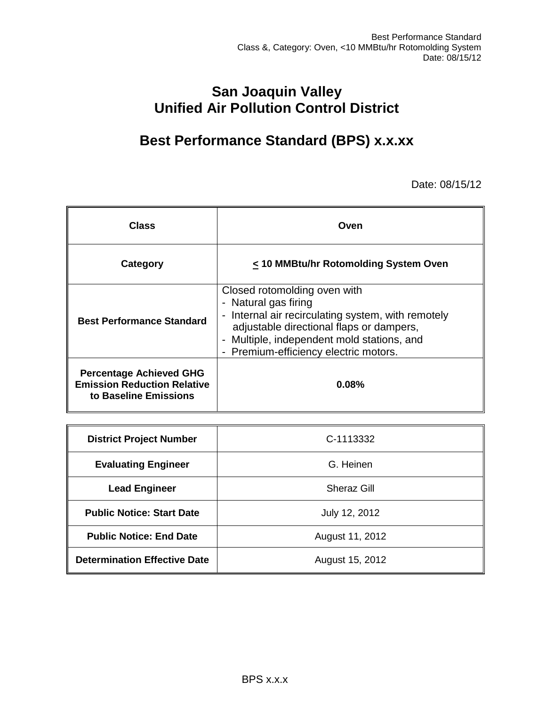# **San Joaquin Valley Unified Air Pollution Control District**

# **Best Performance Standard (BPS) x.x.xx**

Date: 08/15/12

| Class                                                                                         | Oven                                                                                                                                                                                                                                          |  |
|-----------------------------------------------------------------------------------------------|-----------------------------------------------------------------------------------------------------------------------------------------------------------------------------------------------------------------------------------------------|--|
| Category                                                                                      | < 10 MMBtu/hr Rotomolding System Oven                                                                                                                                                                                                         |  |
| <b>Best Performance Standard</b>                                                              | Closed rotomolding oven with<br>- Natural gas firing<br>- Internal air recirculating system, with remotely<br>adjustable directional flaps or dampers,<br>- Multiple, independent mold stations, and<br>- Premium-efficiency electric motors. |  |
| <b>Percentage Achieved GHG</b><br><b>Emission Reduction Relative</b><br>to Baseline Emissions | 0.08%                                                                                                                                                                                                                                         |  |

| <b>District Project Number</b>      | C-1113332       |  |  |
|-------------------------------------|-----------------|--|--|
| <b>Evaluating Engineer</b>          | G. Heinen       |  |  |
| <b>Lead Engineer</b>                | Sheraz Gill     |  |  |
| <b>Public Notice: Start Date</b>    | July 12, 2012   |  |  |
| <b>Public Notice: End Date</b>      | August 11, 2012 |  |  |
| <b>Determination Effective Date</b> | August 15, 2012 |  |  |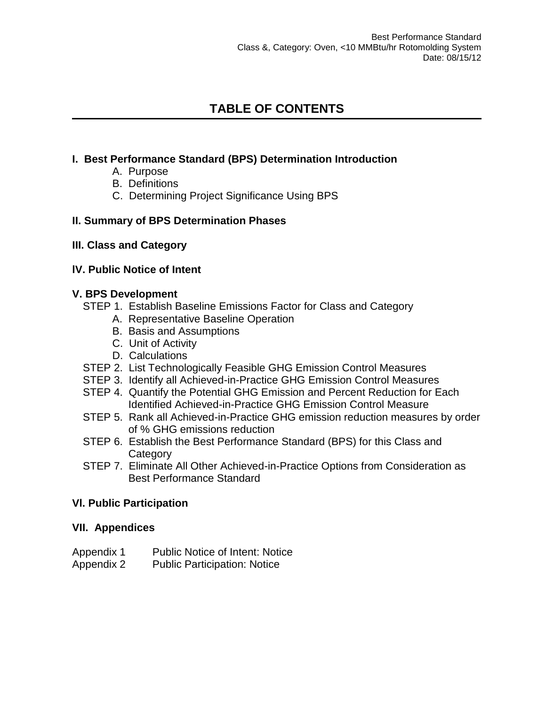# **TABLE OF CONTENTS**

## **[I. Best Performance Standard \(BPS\) Determination Introduction](#page-1-0)**

- [A. Purpose](#page-2-0)
- [B. Definitions](#page-2-1)
- [C. Determining Project Significance Using BPS](#page-3-0)

## **[II. Summary of BPS Determination Phases](#page-3-1)**

**[III. Class and Category](#page-4-0)**

## **lV. Public Notice of Intent**

## **[V. BPS Development](#page-5-0)**

- [STEP 1. Establish Baseline Emissions Factor for Class and Category](#page-5-1)
	- [A. Representative Baseline Operation](#page-5-2)
	- [B. Basis and Assumptions](#page-7-0)
	- [C. Unit of Activity](#page-8-0)
	- [D. Calculations](#page-8-1)
- [STEP 2. List Technologically Feasible GHG Emission Control Measures](#page-9-0)
- [STEP 3. Identify all Achieved-in-Practice GHG Emission Control Measures](#page-10-0)
- [STEP 4. Quantify the Potential GHG Emission and Percent Reduction for Each](#page-12-0)  [Identified Achieved-in-Practice GHG Emission Control Measure](#page-12-0)
- [STEP 5. Rank all Achieved-in-Practice GHG emission reduction measures by order](#page-14-0)  of [% GHG emissions reduction](#page-14-0)
- [STEP 6. Establish the Best Performance Standard \(BPS\) for this Class and](#page-15-0)  **[Category](#page-15-0)**
- [STEP 7. Eliminate All Other Achieved-in-Practice Options from Consideration as](#page-16-0)  [Best Performance Standard](#page-16-0)

## **Vl. Public Participation**

## **[VII. Appendices](#page-16-1)**

- Appendix 1 Public Notice of Intent: Notice
- <span id="page-1-0"></span>Appendix 2 Public Participation: Notice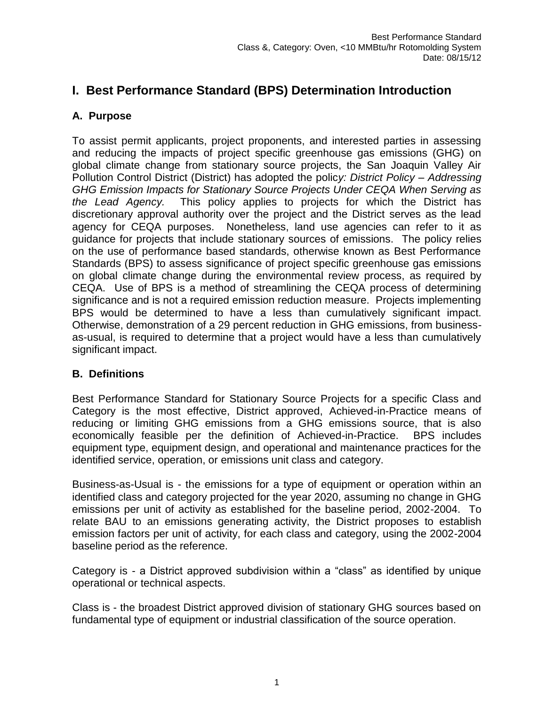# **I. Best Performance Standard (BPS) Determination Introduction**

# <span id="page-2-0"></span>**A. Purpose**

To assist permit applicants, project proponents, and interested parties in assessing and reducing the impacts of project specific greenhouse gas emissions (GHG) on global climate change from stationary source projects, the San Joaquin Valley Air Pollution Control District (District) has adopted the polic*y: District Policy – Addressing GHG Emission Impacts for Stationary Source Projects Under CEQA When Serving as the Lead Agency.* This policy applies to projects for which the District has discretionary approval authority over the project and the District serves as the lead agency for CEQA purposes. Nonetheless, land use agencies can refer to it as guidance for projects that include stationary sources of emissions. The policy relies on the use of performance based standards, otherwise known as Best Performance Standards (BPS) to assess significance of project specific greenhouse gas emissions on global climate change during the environmental review process, as required by CEQA. Use of BPS is a method of streamlining the CEQA process of determining significance and is not a required emission reduction measure. Projects implementing BPS would be determined to have a less than cumulatively significant impact. Otherwise, demonstration of a 29 percent reduction in GHG emissions, from businessas-usual, is required to determine that a project would have a less than cumulatively significant impact.

## <span id="page-2-1"></span>**B. Definitions**

Best Performance Standard for Stationary Source Projects for a specific Class and Category is the most effective, District approved, Achieved-in-Practice means of reducing or limiting GHG emissions from a GHG emissions source, that is also economically feasible per the definition of Achieved-in-Practice. BPS includes equipment type, equipment design, and operational and maintenance practices for the identified service, operation, or emissions unit class and category.

Business-as-Usual is - the emissions for a type of equipment or operation within an identified class and category projected for the year 2020, assuming no change in GHG emissions per unit of activity as established for the baseline period, 2002-2004. To relate BAU to an emissions generating activity, the District proposes to establish emission factors per unit of activity, for each class and category, using the 2002-2004 baseline period as the reference.

Category is - a District approved subdivision within a "class" as identified by unique operational or technical aspects.

Class is - the broadest District approved division of stationary GHG sources based on fundamental type of equipment or industrial classification of the source operation.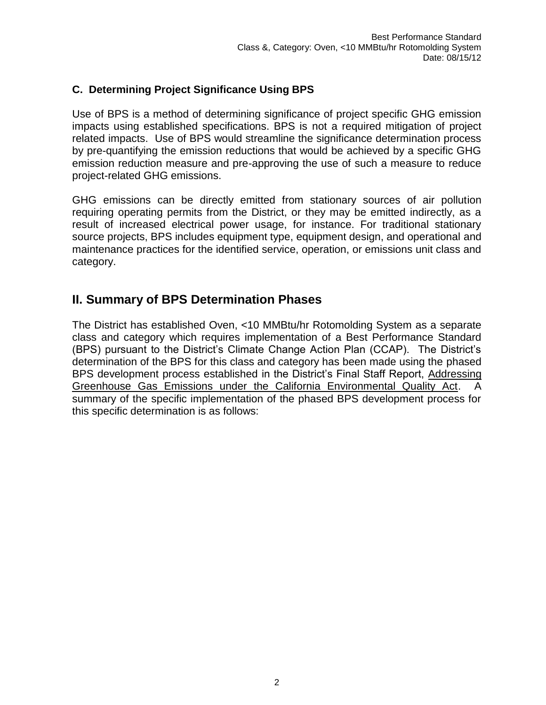## <span id="page-3-0"></span>**C. Determining Project Significance Using BPS**

Use of BPS is a method of determining significance of project specific GHG emission impacts using established specifications. BPS is not a required mitigation of project related impacts. Use of BPS would streamline the significance determination process by pre-quantifying the emission reductions that would be achieved by a specific GHG emission reduction measure and pre-approving the use of such a measure to reduce project-related GHG emissions.

GHG emissions can be directly emitted from stationary sources of air pollution requiring operating permits from the District, or they may be emitted indirectly, as a result of increased electrical power usage, for instance. For traditional stationary source projects, BPS includes equipment type, equipment design, and operational and maintenance practices for the identified service, operation, or emissions unit class and category.

# <span id="page-3-1"></span>**II. Summary of BPS Determination Phases**

The District has established Oven, <10 MMBtu/hr Rotomolding System as a separate class and category which requires implementation of a Best Performance Standard (BPS) pursuant to the District's Climate Change Action Plan (CCAP). The District's determination of the BPS for this class and category has been made using the phased BPS development process established in the District's Final Staff Report, Addressing Greenhouse Gas Emissions under the California Environmental Quality Act. A summary of the specific implementation of the phased BPS development process for this specific determination is as follows: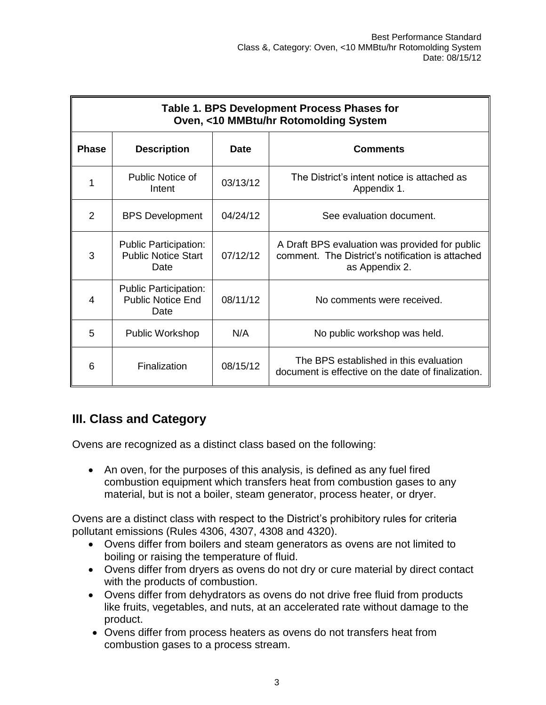| Table 1. BPS Development Process Phases for<br>Oven, <10 MMBtu/hr Rotomolding System |                                                                    |          |                                                                                                                      |  |  |
|--------------------------------------------------------------------------------------|--------------------------------------------------------------------|----------|----------------------------------------------------------------------------------------------------------------------|--|--|
| <b>Phase</b>                                                                         | <b>Description</b><br><b>Date</b>                                  |          | <b>Comments</b>                                                                                                      |  |  |
|                                                                                      | Public Notice of<br>Intent                                         | 03/13/12 | The District's intent notice is attached as<br>Appendix 1.                                                           |  |  |
| 2                                                                                    | <b>BPS Development</b>                                             | 04/24/12 | See evaluation document.                                                                                             |  |  |
| 3                                                                                    | <b>Public Participation:</b><br><b>Public Notice Start</b><br>Date | 07/12/12 | A Draft BPS evaluation was provided for public<br>comment. The District's notification is attached<br>as Appendix 2. |  |  |
| 4                                                                                    | <b>Public Participation:</b><br><b>Public Notice End</b><br>Date   | 08/11/12 | No comments were received.                                                                                           |  |  |
| 5                                                                                    | Public Workshop                                                    | N/A      | No public workshop was held.                                                                                         |  |  |
| 6                                                                                    | Finalization                                                       | 08/15/12 | The BPS established in this evaluation<br>document is effective on the date of finalization.                         |  |  |

# <span id="page-4-0"></span>**III. Class and Category**

Ovens are recognized as a distinct class based on the following:

• An oven, for the purposes of this analysis, is defined as any fuel fired combustion equipment which transfers heat from combustion gases to any material, but is not a boiler, steam generator, process heater, or dryer.

Ovens are a distinct class with respect to the District's prohibitory rules for criteria pollutant emissions (Rules 4306, 4307, 4308 and 4320).

- Ovens differ from boilers and steam generators as ovens are not limited to boiling or raising the temperature of fluid.
- Ovens differ from dryers as ovens do not dry or cure material by direct contact with the products of combustion.
- Ovens differ from dehydrators as ovens do not drive free fluid from products like fruits, vegetables, and nuts, at an accelerated rate without damage to the product.
- Ovens differ from process heaters as ovens do not transfers heat from combustion gases to a process stream.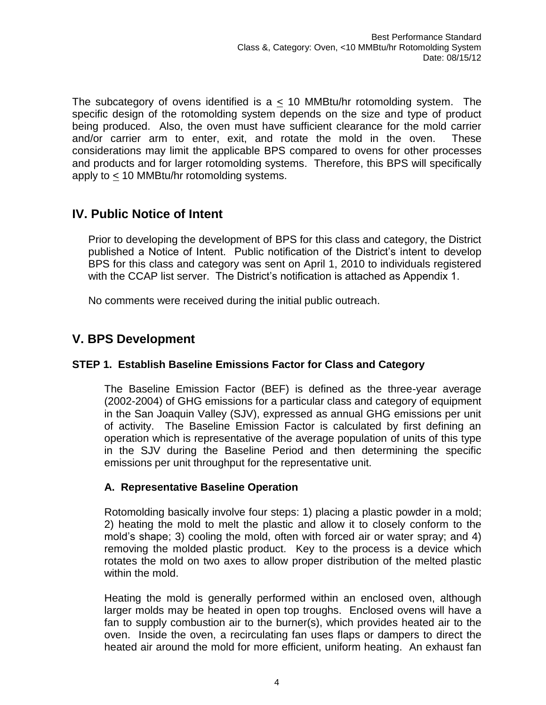<span id="page-5-0"></span>The subcategory of ovens identified is a  $\leq$  10 MMBtu/hr rotomolding system. The specific design of the rotomolding system depends on the size and type of product being produced. Also, the oven must have sufficient clearance for the mold carrier and/or carrier arm to enter, exit, and rotate the mold in the oven. These considerations may limit the applicable BPS compared to ovens for other processes and products and for larger rotomolding systems. Therefore, this BPS will specifically apply to < 10 MMBtu/hr rotomolding systems.

# **IV. Public Notice of Intent**

Prior to developing the development of BPS for this class and category, the District published a Notice of Intent. Public notification of the District's intent to develop BPS for this class and category was sent on April 1, 2010 to individuals registered with the CCAP list server. The District's notification is attached as Appendix 1.

No comments were received during the initial public outreach.

# **V. BPS Development**

## <span id="page-5-1"></span>**STEP 1. Establish Baseline Emissions Factor for Class and Category**

The Baseline Emission Factor (BEF) is defined as the three-year average (2002-2004) of GHG emissions for a particular class and category of equipment in the San Joaquin Valley (SJV), expressed as annual GHG emissions per unit of activity. The Baseline Emission Factor is calculated by first defining an operation which is representative of the average population of units of this type in the SJV during the Baseline Period and then determining the specific emissions per unit throughput for the representative unit.

## <span id="page-5-2"></span>**A. Representative Baseline Operation**

Rotomolding basically involve four steps: 1) placing a plastic powder in a mold; 2) heating the mold to melt the plastic and allow it to closely conform to the mold's shape; 3) cooling the mold, often with forced air or water spray; and 4) removing the molded plastic product. Key to the process is a device which rotates the mold on two axes to allow proper distribution of the melted plastic within the mold.

Heating the mold is generally performed within an enclosed oven, although larger molds may be heated in open top troughs. Enclosed ovens will have a fan to supply combustion air to the burner(s), which provides heated air to the oven. Inside the oven, a recirculating fan uses flaps or dampers to direct the heated air around the mold for more efficient, uniform heating. An exhaust fan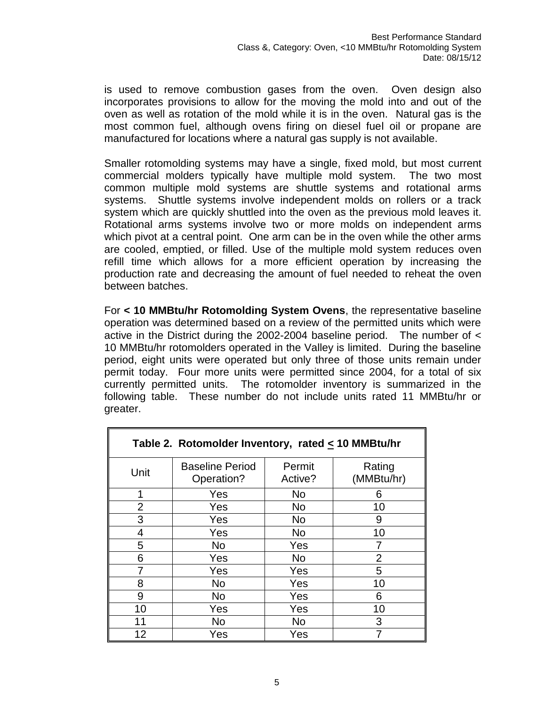is used to remove combustion gases from the oven. Oven design also incorporates provisions to allow for the moving the mold into and out of the oven as well as rotation of the mold while it is in the oven. Natural gas is the most common fuel, although ovens firing on diesel fuel oil or propane are manufactured for locations where a natural gas supply is not available.

Smaller rotomolding systems may have a single, fixed mold, but most current commercial molders typically have multiple mold system. The two most common multiple mold systems are shuttle systems and rotational arms systems. Shuttle systems involve independent molds on rollers or a track system which are quickly shuttled into the oven as the previous mold leaves it. Rotational arms systems involve two or more molds on independent arms which pivot at a central point. One arm can be in the oven while the other arms are cooled, emptied, or filled. Use of the multiple mold system reduces oven refill time which allows for a more efficient operation by increasing the production rate and decreasing the amount of fuel needed to reheat the oven between batches.

For **< 10 MMBtu/hr Rotomolding System Ovens**, the representative baseline operation was determined based on a review of the permitted units which were active in the District during the 2002-2004 baseline period. The number of < 10 MMBtu/hr rotomolders operated in the Valley is limited. During the baseline period, eight units were operated but only three of those units remain under permit today. Four more units were permitted since 2004, for a total of six currently permitted units. The rotomolder inventory is summarized in the following table. These number do not include units rated 11 MMBtu/hr or greater.

| Table 2. Rotomolder Inventory, rated $\leq$ 10 MMBtu/hr |                                      |                   |                      |  |  |
|---------------------------------------------------------|--------------------------------------|-------------------|----------------------|--|--|
| Unit                                                    | <b>Baseline Period</b><br>Operation? | Permit<br>Active? | Rating<br>(MMBtu/hr) |  |  |
| 1                                                       | Yes                                  | No                | 6                    |  |  |
| $\overline{2}$                                          | Yes                                  | <b>No</b>         | 10                   |  |  |
| 3                                                       | Yes                                  | N <sub>o</sub>    | 9                    |  |  |
| 4                                                       | Yes                                  | <b>No</b>         | 10                   |  |  |
| 5                                                       | N <sub>o</sub>                       | Yes               |                      |  |  |
| 6                                                       | Yes                                  | <b>No</b>         | $\overline{2}$       |  |  |
|                                                         | Yes                                  | Yes               | 5                    |  |  |
| 8                                                       | <b>No</b>                            | Yes               | 10                   |  |  |
| 9                                                       | N <sub>o</sub>                       | Yes               | 6                    |  |  |
| 10                                                      | Yes                                  | Yes               | 10                   |  |  |
| 11                                                      | No                                   | <b>No</b>         | 3                    |  |  |
| 12                                                      | Yes                                  | Yes               |                      |  |  |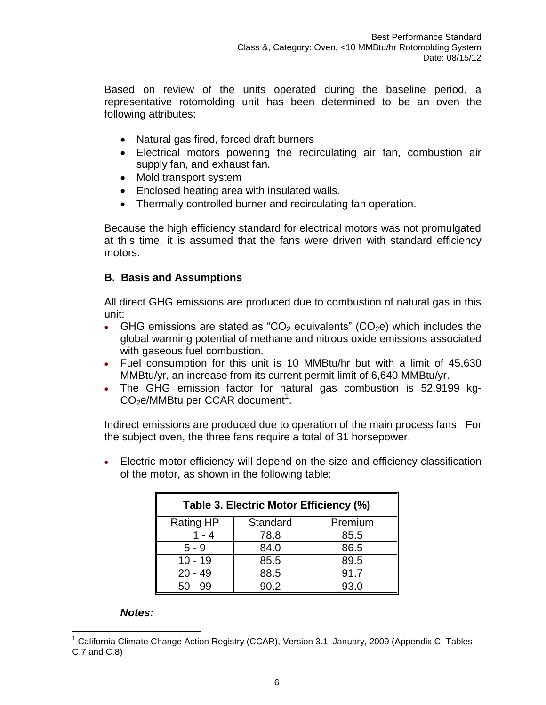Based on review of the units operated during the baseline period, a representative rotomolding unit has been determined to be an oven the following attributes:

- Natural gas fired, forced draft burners
- Electrical motors powering the recirculating air fan, combustion air supply fan, and exhaust fan.
- Mold transport system
- Enclosed heating area with insulated walls.
- Thermally controlled burner and recirculating fan operation.

Because the high efficiency standard for electrical motors was not promulgated at this time, it is assumed that the fans were driven with standard efficiency motors.

#### <span id="page-7-0"></span>**B. Basis and Assumptions**

All direct GHG emissions are produced due to combustion of natural gas in this unit:

- GHG emissions are stated as "CO<sub>2</sub> equivalents" (CO<sub>2</sub>e) which includes the global warming potential of methane and nitrous oxide emissions associated with gaseous fuel combustion.
- Fuel consumption for this unit is 10 MMBtu/hr but with a limit of 45,630 MMBtu/yr, an increase from its current permit limit of 6,640 MMBtu/yr.
- The GHG emission factor for natural gas combustion is 52.9199 kg- $CO<sub>2</sub>e/MM$ Btu per CCAR document<sup>1</sup>.

Indirect emissions are produced due to operation of the main process fans. For the subject oven, the three fans require a total of 31 horsepower.

 Electric motor efficiency will depend on the size and efficiency classification of the motor, as shown in the following table:

| Table 3. Electric Motor Efficiency (%) |          |         |  |  |
|----------------------------------------|----------|---------|--|--|
| <b>Rating HP</b>                       | Standard | Premium |  |  |
| $1 - 4$                                | 78.8     | 85.5    |  |  |
| $5 - 9$                                | 84.0     | 86.5    |  |  |
| $10 - 19$                              | 85.5     | 89.5    |  |  |
| $20 - 49$                              | 88.5     | 91.7    |  |  |
| $50 - 99$                              | 90.2     | 93.0    |  |  |

#### *Notes:*

 $\overline{a}$ <sup>1</sup> California Climate Change Action Registry (CCAR), Version 3.1, January, 2009 (Appendix C, Tables C.7 and C.8)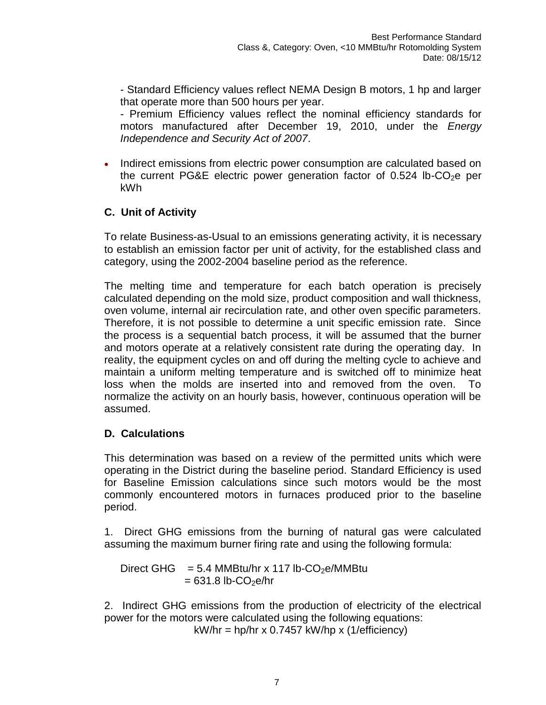- Standard Efficiency values reflect NEMA Design B motors, 1 hp and larger that operate more than 500 hours per year.

- Premium Efficiency values reflect the nominal efficiency standards for motors manufactured after December 19, 2010, under the *Energy Independence and Security Act of 2007*.

• Indirect emissions from electric power consumption are calculated based on the current PG&E electric power generation factor of  $0.524$  lb-CO<sub>2</sub>e per kWh

# <span id="page-8-0"></span>**C. Unit of Activity**

To relate Business-as-Usual to an emissions generating activity, it is necessary to establish an emission factor per unit of activity, for the established class and category, using the 2002-2004 baseline period as the reference.

The melting time and temperature for each batch operation is precisely calculated depending on the mold size, product composition and wall thickness, oven volume, internal air recirculation rate, and other oven specific parameters. Therefore, it is not possible to determine a unit specific emission rate. Since the process is a sequential batch process, it will be assumed that the burner and motors operate at a relatively consistent rate during the operating day. In reality, the equipment cycles on and off during the melting cycle to achieve and maintain a uniform melting temperature and is switched off to minimize heat loss when the molds are inserted into and removed from the oven. To normalize the activity on an hourly basis, however, continuous operation will be assumed.

# <span id="page-8-1"></span>**D. Calculations**

This determination was based on a review of the permitted units which were operating in the District during the baseline period. Standard Efficiency is used for Baseline Emission calculations since such motors would be the most commonly encountered motors in furnaces produced prior to the baseline period.

1. Direct GHG emissions from the burning of natural gas were calculated assuming the maximum burner firing rate and using the following formula:

Direct GHG = 5.4 MMBtu/hr x 117 lb-CO<sub>2</sub>e/MMBtu  $= 631.8$  lb-CO<sub>2</sub>e/hr

2. Indirect GHG emissions from the production of electricity of the electrical power for the motors were calculated using the following equations: kW/hr = hp/hr x 0.7457 kW/hp x (1/efficiency)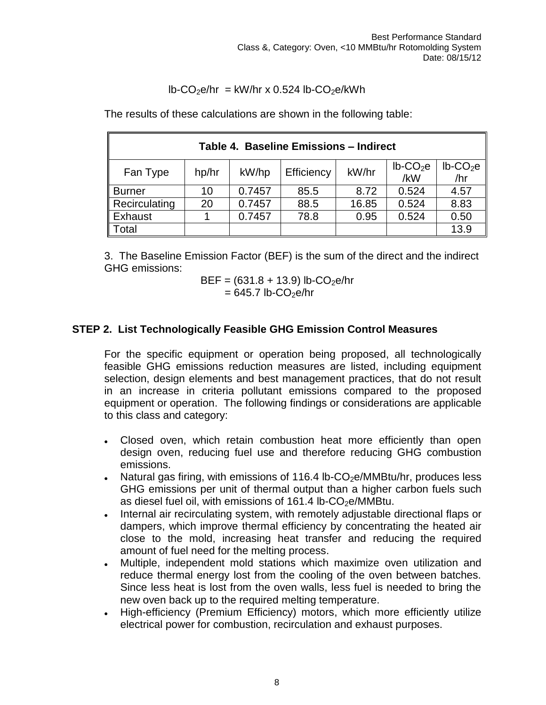$$
lb\text{-}CO_2e/hr = kW/hr \times 0.524 lb\text{-}CO_2e/kWh
$$

The results of these calculations are shown in the following table:

| Table 4. Baseline Emissions - Indirect                                                                                |    |        |      |       |       |      |
|-----------------------------------------------------------------------------------------------------------------------|----|--------|------|-------|-------|------|
| $lb$ -CO <sub>2</sub> e<br>$lb$ -CO <sub>2</sub> e<br>kW/hr<br>Efficiency<br>hp/hr<br>kW/hp<br>Fan Type<br>/hr<br>/kW |    |        |      |       |       |      |
| <b>Burner</b>                                                                                                         | 10 | 0.7457 | 85.5 | 8.72  | 0.524 | 4.57 |
| Recirculating                                                                                                         | 20 | 0.7457 | 88.5 | 16.85 | 0.524 | 8.83 |
| Exhaust                                                                                                               |    | 0.7457 | 78.8 | 0.95  | 0.524 | 0.50 |
| 13.9<br>Total                                                                                                         |    |        |      |       |       |      |

3. The Baseline Emission Factor (BEF) is the sum of the direct and the indirect GHG emissions:

$$
BEF = (631.8 + 13.9) lb\text{-}CO2 e/hr
$$

$$
= 645.7 lb\text{-}CO2e/hr
$$

#### <span id="page-9-0"></span>**STEP 2. List Technologically Feasible GHG Emission Control Measures**

For the specific equipment or operation being proposed, all technologically feasible GHG emissions reduction measures are listed, including equipment selection, design elements and best management practices, that do not result in an increase in criteria pollutant emissions compared to the proposed equipment or operation. The following findings or considerations are applicable to this class and category:

- Closed oven, which retain combustion heat more efficiently than open design oven, reducing fuel use and therefore reducing GHG combustion emissions.
- Natural gas firing, with emissions of 116.4 lb-CO<sub>2</sub>e/MMBtu/hr, produces less GHG emissions per unit of thermal output than a higher carbon fuels such as diesel fuel oil, with emissions of  $161.4$  lb-CO<sub>2</sub>e/MMBtu.
- Internal air recirculating system, with remotely adjustable directional flaps or dampers, which improve thermal efficiency by concentrating the heated air close to the mold, increasing heat transfer and reducing the required amount of fuel need for the melting process.
- Multiple, independent mold stations which maximize oven utilization and reduce thermal energy lost from the cooling of the oven between batches. Since less heat is lost from the oven walls, less fuel is needed to bring the new oven back up to the required melting temperature.
- High-efficiency (Premium Efficiency) motors, which more efficiently utilize electrical power for combustion, recirculation and exhaust purposes.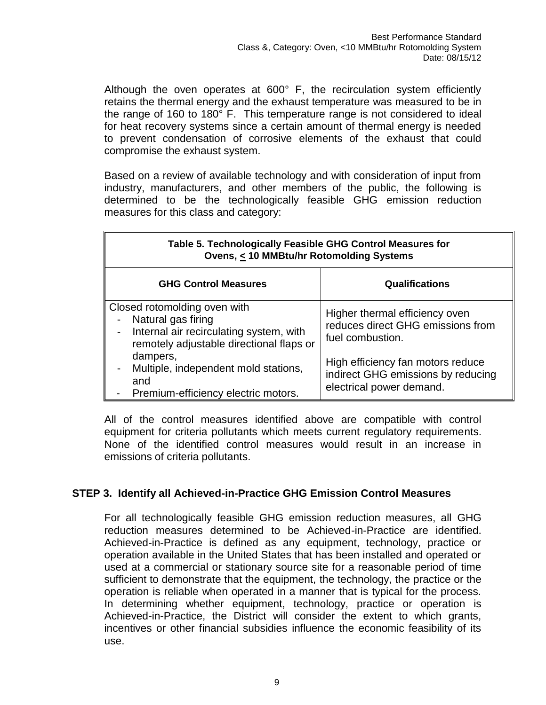Although the oven operates at 600° F, the recirculation system efficiently retains the thermal energy and the exhaust temperature was measured to be in the range of 160 to 180° F. This temperature range is not considered to ideal for heat recovery systems since a certain amount of thermal energy is needed to prevent condensation of corrosive elements of the exhaust that could compromise the exhaust system.

Based on a review of available technology and with consideration of input from industry, manufacturers, and other members of the public, the following is determined to be the technologically feasible GHG emission reduction measures for this class and category:

| Table 5. Technologically Feasible GHG Control Measures for<br>Ovens, < 10 MMBtu/hr Rotomolding Systems                                    |                                                                                                     |  |  |  |
|-------------------------------------------------------------------------------------------------------------------------------------------|-----------------------------------------------------------------------------------------------------|--|--|--|
| <b>GHG Control Measures</b><br><b>Qualifications</b>                                                                                      |                                                                                                     |  |  |  |
| Closed rotomolding oven with<br>Natural gas firing<br>Internal air recirculating system, with<br>remotely adjustable directional flaps or | Higher thermal efficiency oven<br>reduces direct GHG emissions from<br>fuel combustion.             |  |  |  |
| dampers,<br>Multiple, independent mold stations,<br>and<br>Premium-efficiency electric motors.                                            | High efficiency fan motors reduce<br>indirect GHG emissions by reducing<br>electrical power demand. |  |  |  |

All of the control measures identified above are compatible with control equipment for criteria pollutants which meets current regulatory requirements. None of the identified control measures would result in an increase in emissions of criteria pollutants.

#### <span id="page-10-0"></span>**STEP 3. Identify all Achieved-in-Practice GHG Emission Control Measures**

For all technologically feasible GHG emission reduction measures, all GHG reduction measures determined to be Achieved-in-Practice are identified. Achieved-in-Practice is defined as any equipment, technology, practice or operation available in the United States that has been installed and operated or used at a commercial or stationary source site for a reasonable period of time sufficient to demonstrate that the equipment, the technology, the practice or the operation is reliable when operated in a manner that is typical for the process. In determining whether equipment, technology, practice or operation is Achieved-in-Practice, the District will consider the extent to which grants, incentives or other financial subsidies influence the economic feasibility of its use.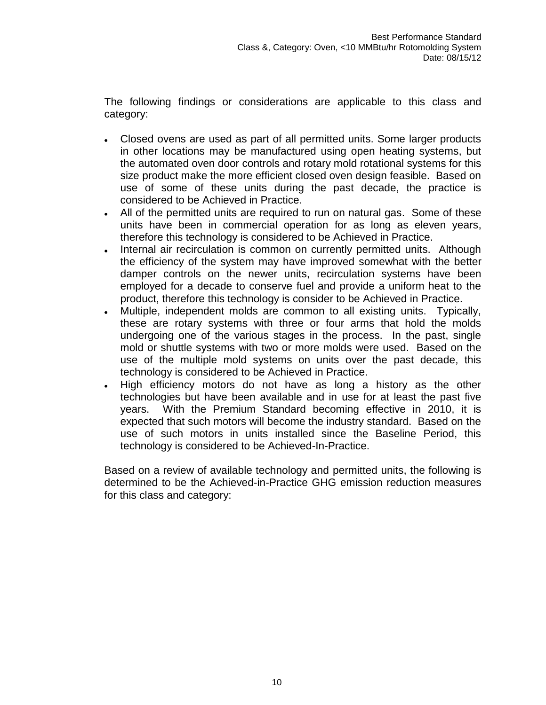The following findings or considerations are applicable to this class and category:

- Closed ovens are used as part of all permitted units. Some larger products in other locations may be manufactured using open heating systems, but the automated oven door controls and rotary mold rotational systems for this size product make the more efficient closed oven design feasible. Based on use of some of these units during the past decade, the practice is considered to be Achieved in Practice.
- All of the permitted units are required to run on natural gas. Some of these units have been in commercial operation for as long as eleven years, therefore this technology is considered to be Achieved in Practice.
- Internal air recirculation is common on currently permitted units. Although the efficiency of the system may have improved somewhat with the better damper controls on the newer units, recirculation systems have been employed for a decade to conserve fuel and provide a uniform heat to the product, therefore this technology is consider to be Achieved in Practice.
- Multiple, independent molds are common to all existing units. Typically, these are rotary systems with three or four arms that hold the molds undergoing one of the various stages in the process. In the past, single mold or shuttle systems with two or more molds were used. Based on the use of the multiple mold systems on units over the past decade, this technology is considered to be Achieved in Practice.
- High efficiency motors do not have as long a history as the other technologies but have been available and in use for at least the past five years. With the Premium Standard becoming effective in 2010, it is expected that such motors will become the industry standard. Based on the use of such motors in units installed since the Baseline Period, this technology is considered to be Achieved-In-Practice.

Based on a review of available technology and permitted units, the following is determined to be the Achieved-in-Practice GHG emission reduction measures for this class and category: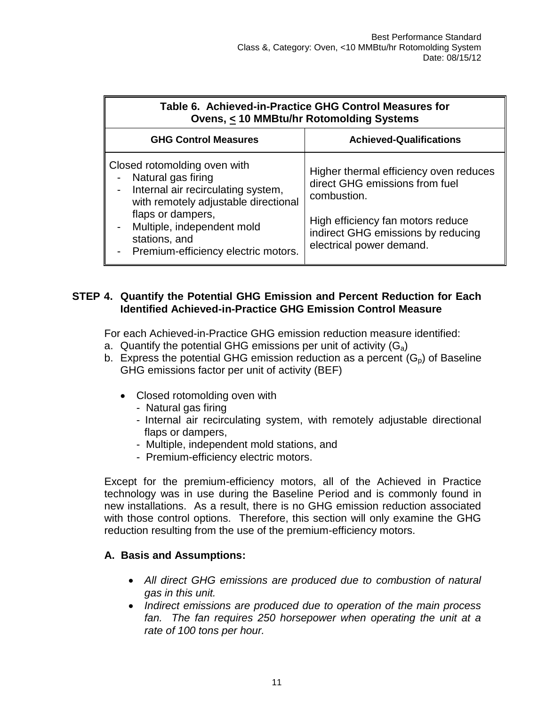| Table 6. Achieved-in-Practice GHG Control Measures for<br><b>Ovens, &lt; 10 MMBtu/hr Rotomolding Systems</b>                                                                                                                                  |                                                                                                                                                                                                |  |  |  |
|-----------------------------------------------------------------------------------------------------------------------------------------------------------------------------------------------------------------------------------------------|------------------------------------------------------------------------------------------------------------------------------------------------------------------------------------------------|--|--|--|
| <b>GHG Control Measures</b><br><b>Achieved-Qualifications</b>                                                                                                                                                                                 |                                                                                                                                                                                                |  |  |  |
| Closed rotomolding oven with<br>Natural gas firing<br>Internal air recirculating system,<br>with remotely adjustable directional<br>flaps or dampers,<br>Multiple, independent mold<br>stations, and<br>- Premium-efficiency electric motors. | Higher thermal efficiency oven reduces<br>direct GHG emissions from fuel<br>combustion.<br>High efficiency fan motors reduce<br>indirect GHG emissions by reducing<br>electrical power demand. |  |  |  |

#### <span id="page-12-0"></span>**STEP 4. Quantify the Potential GHG Emission and Percent Reduction for Each Identified Achieved-in-Practice GHG Emission Control Measure**

For each Achieved-in-Practice GHG emission reduction measure identified:

- a. Quantify the potential GHG emissions per unit of activity  $(G_a)$
- b. Express the potential GHG emission reduction as a percent  $(G_p)$  of Baseline GHG emissions factor per unit of activity (BEF)
	- Closed rotomolding oven with
		- Natural gas firing
		- Internal air recirculating system, with remotely adjustable directional flaps or dampers,
		- Multiple, independent mold stations, and
		- Premium-efficiency electric motors.

Except for the premium-efficiency motors, all of the Achieved in Practice technology was in use during the Baseline Period and is commonly found in new installations. As a result, there is no GHG emission reduction associated with those control options. Therefore, this section will only examine the GHG reduction resulting from the use of the premium-efficiency motors.

#### **A. Basis and Assumptions:**

- *All direct GHG emissions are produced due to combustion of natural gas in this unit.*
- *Indirect emissions are produced due to operation of the main process fan. The fan requires 250 horsepower when operating the unit at a rate of 100 tons per hour.*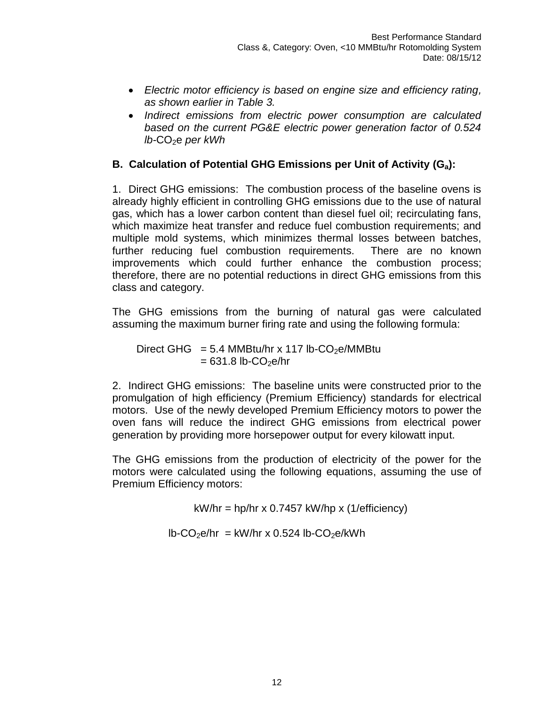- *Electric motor efficiency is based on engine size and efficiency rating, as shown earlier in Table 3.*
- *Indirect emissions from electric power consumption are calculated based on the current PG&E electric power generation factor of 0.524 lb-CO<sub>2</sub>e per kWh*

## **B. Calculation of Potential GHG Emissions per Unit of Activity (Ga):**

1. Direct GHG emissions: The combustion process of the baseline ovens is already highly efficient in controlling GHG emissions due to the use of natural gas, which has a lower carbon content than diesel fuel oil; recirculating fans, which maximize heat transfer and reduce fuel combustion requirements; and multiple mold systems, which minimizes thermal losses between batches, further reducing fuel combustion requirements. There are no known improvements which could further enhance the combustion process; therefore, there are no potential reductions in direct GHG emissions from this class and category.

The GHG emissions from the burning of natural gas were calculated assuming the maximum burner firing rate and using the following formula:

Direct GHG =  $5.4$  MMBtu/hr x 117 lb-CO<sub>2</sub>e/MMBtu  $= 631.8$  lb-CO<sub>2</sub>e/hr

2. Indirect GHG emissions: The baseline units were constructed prior to the promulgation of high efficiency (Premium Efficiency) standards for electrical motors. Use of the newly developed Premium Efficiency motors to power the oven fans will reduce the indirect GHG emissions from electrical power generation by providing more horsepower output for every kilowatt input.

The GHG emissions from the production of electricity of the power for the motors were calculated using the following equations, assuming the use of Premium Efficiency motors:

 $kW/hr = hp/hr \times 0.7457 \ kW/hp \times (1/efficiency)$ 

 $lb$ -CO<sub>2</sub>e/hr = kW/hr x 0.524 lb-CO<sub>2</sub>e/kWh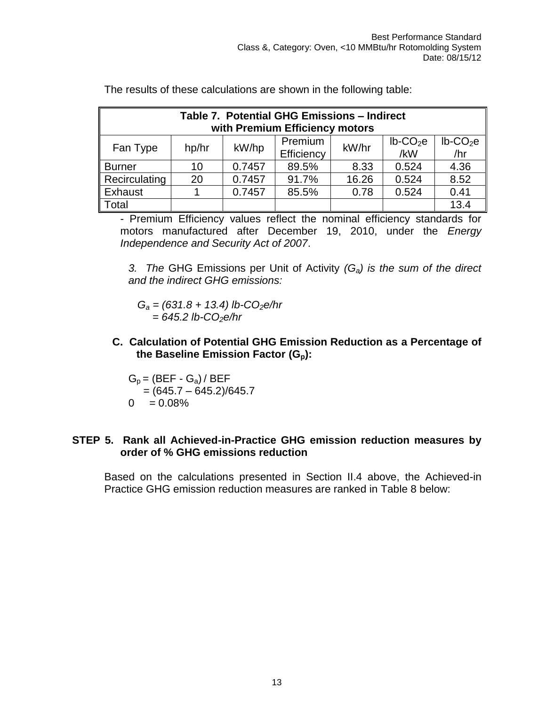| Table 7. Potential GHG Emissions - Indirect<br>with Premium Efficiency motors                                                    |    |        |       |       |       |      |
|----------------------------------------------------------------------------------------------------------------------------------|----|--------|-------|-------|-------|------|
| $lb$ -CO <sub>2</sub> e<br>$lb$ -CO <sub>2</sub> e<br>Premium<br>kW/hr<br>kW/hp<br>Fan Type<br>hp/hr<br>/hr<br>/kW<br>Efficiency |    |        |       |       |       |      |
| <b>Burner</b>                                                                                                                    | 10 | 0.7457 | 89.5% | 8.33  | 0.524 | 4.36 |
| Recirculating                                                                                                                    | 20 | 0.7457 | 91.7% | 16.26 | 0.524 | 8.52 |
| Exhaust                                                                                                                          |    | 0.7457 | 85.5% | 0.78  | 0.524 | 0.41 |
| Total                                                                                                                            |    |        |       |       |       | 13.4 |

The results of these calculations are shown in the following table:

- Premium Efficiency values reflect the nominal efficiency standards for motors manufactured after December 19, 2010, under the *Energy Independence and Security Act of 2007*.

*3. The* GHG Emissions per Unit of Activity *(Ga) is the sum of the direct and the indirect GHG emissions:*

 *G<sup>a</sup> = (631.8 + 13.4) lb-CO2e/hr = 645.2 lb-CO2e/hr*

**C. Calculation of Potential GHG Emission Reduction as a Percentage of the Baseline Emission Factor (Gp):**

 $G_p = (BEF - G_a)/BEF$  $=(645.7 - 645.2)/645.7$  $0 = 0.08\%$ 

#### <span id="page-14-0"></span>**STEP 5. Rank all Achieved-in-Practice GHG emission reduction measures by order of % GHG emissions reduction**

Based on the calculations presented in Section II.4 above, the Achieved-in Practice GHG emission reduction measures are ranked in Table 8 below: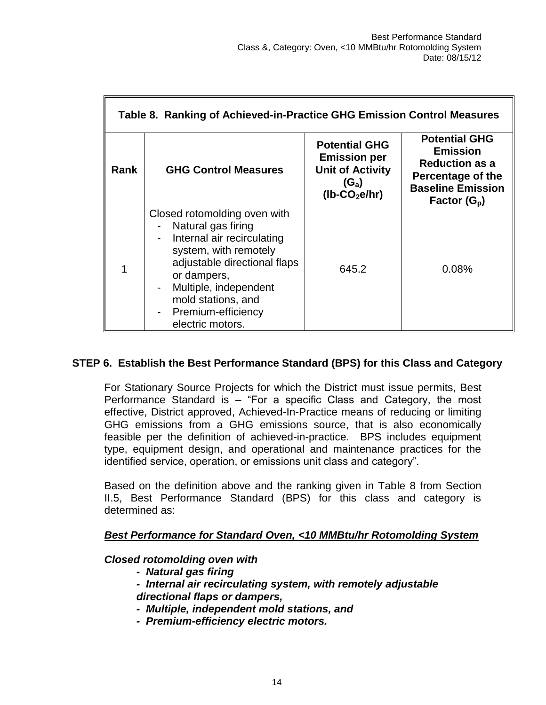| Table 8. Ranking of Achieved-in-Practice GHG Emission Control Measures |                                                                                                                                                                                                                                                   |                                                                                                                   |                                                                                                                                     |  |  |
|------------------------------------------------------------------------|---------------------------------------------------------------------------------------------------------------------------------------------------------------------------------------------------------------------------------------------------|-------------------------------------------------------------------------------------------------------------------|-------------------------------------------------------------------------------------------------------------------------------------|--|--|
| <b>Rank</b>                                                            | <b>GHG Control Measures</b>                                                                                                                                                                                                                       | <b>Potential GHG</b><br><b>Emission per</b><br><b>Unit of Activity</b><br>$(G_a)$<br>$(lb$ -CO <sub>2</sub> e/hr) | <b>Potential GHG</b><br><b>Emission</b><br><b>Reduction as a</b><br>Percentage of the<br><b>Baseline Emission</b><br>Factor $(G_p)$ |  |  |
|                                                                        | Closed rotomolding oven with<br>Natural gas firing<br>Internal air recirculating<br>system, with remotely<br>adjustable directional flaps<br>or dampers,<br>Multiple, independent<br>mold stations, and<br>Premium-efficiency<br>electric motors. | 645.2                                                                                                             | 0.08%                                                                                                                               |  |  |

#### <span id="page-15-0"></span>**STEP 6. Establish the Best Performance Standard (BPS) for this Class and Category**

For Stationary Source Projects for which the District must issue permits, Best Performance Standard is – "For a specific Class and Category, the most effective, District approved, Achieved-In-Practice means of reducing or limiting GHG emissions from a GHG emissions source, that is also economically feasible per the definition of achieved-in-practice. BPS includes equipment type, equipment design, and operational and maintenance practices for the identified service, operation, or emissions unit class and category".

Based on the definition above and the ranking given in Table 8 from Section II.5, Best Performance Standard (BPS) for this class and category is determined as:

#### *Best Performance for Standard Oven, <10 MMBtu/hr Rotomolding System*

#### *Closed rotomolding oven with*

- *Natural gas firing*
- *Internal air recirculating system, with remotely adjustable directional flaps or dampers,*
- *Multiple, independent mold stations, and*
- *Premium-efficiency electric motors.*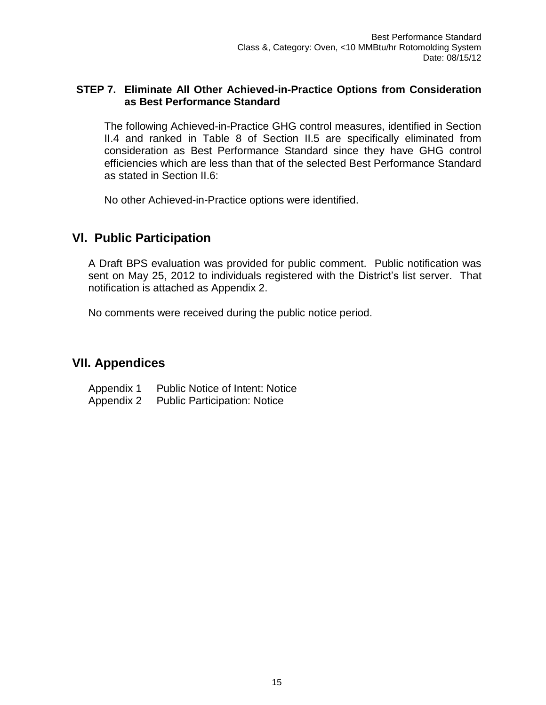#### <span id="page-16-0"></span>**STEP 7. Eliminate All Other Achieved-in-Practice Options from Consideration as Best Performance Standard**

The following Achieved-in-Practice GHG control measures, identified in Section II.4 and ranked in Table 8 of Section II.5 are specifically eliminated from consideration as Best Performance Standard since they have GHG control efficiencies which are less than that of the selected Best Performance Standard as stated in Section II.6:

No other Achieved-in-Practice options were identified.

# **Vl. Public Participation**

A Draft BPS evaluation was provided for public comment. Public notification was sent on May 25, 2012 to individuals registered with the District's list server. That notification is attached as Appendix 2.

No comments were received during the public notice period.

# <span id="page-16-1"></span>**VII. Appendices**

Appendix 1 Public Notice of Intent: Notice

Appendix 2 Public Participation: Notice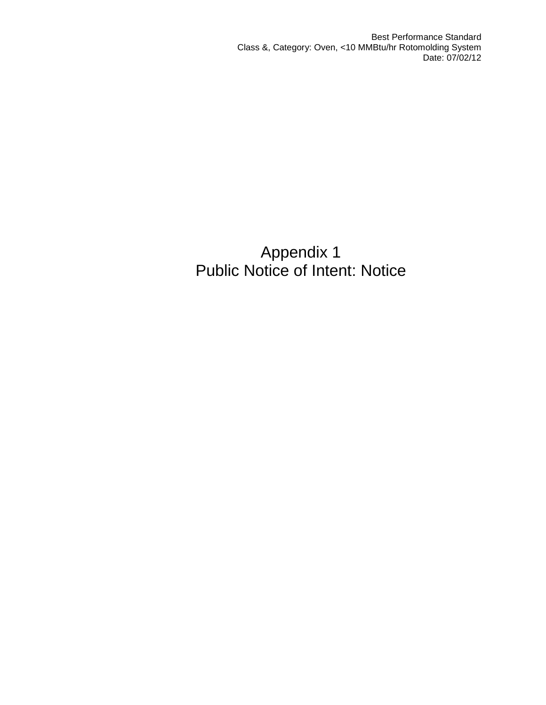# Appendix 1 Public Notice of Intent: Notice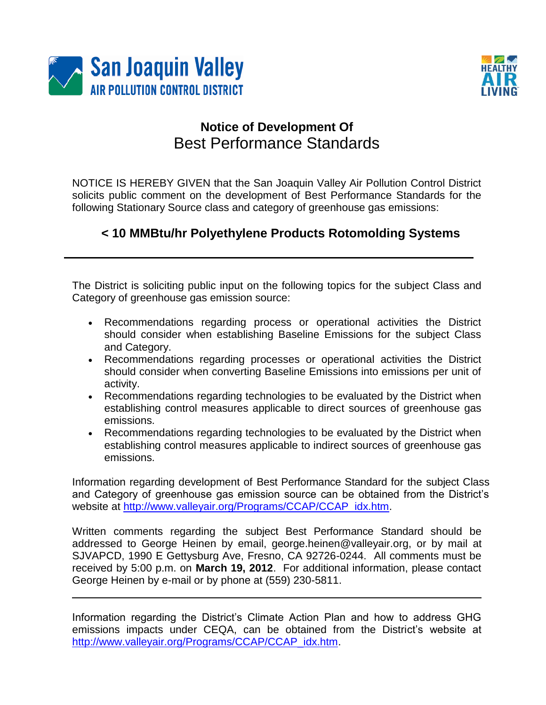



# **Notice of Development Of** Best Performance Standards

NOTICE IS HEREBY GIVEN that the San Joaquin Valley Air Pollution Control District solicits public comment on the development of Best Performance Standards for the following Stationary Source class and category of greenhouse gas emissions:

# **< 10 MMBtu/hr Polyethylene Products Rotomolding Systems**

The District is soliciting public input on the following topics for the subject Class and Category of greenhouse gas emission source:

- Recommendations regarding process or operational activities the District should consider when establishing Baseline Emissions for the subject Class and Category.
- Recommendations regarding processes or operational activities the District should consider when converting Baseline Emissions into emissions per unit of activity.
- Recommendations regarding technologies to be evaluated by the District when establishing control measures applicable to direct sources of greenhouse gas emissions.
- Recommendations regarding technologies to be evaluated by the District when establishing control measures applicable to indirect sources of greenhouse gas emissions.

Information regarding development of Best Performance Standard for the subject Class and Category of greenhouse gas emission source can be obtained from the District's website at [http://www.valleyair.org/Programs/CCAP/CCAP\\_idx.htm.](http://www.valleyair.org/Programs/CCAP/CCAP_idx.htm)

Written comments regarding the subject Best Performance Standard should be addressed to George Heinen by email, george.heinen@valleyair.org, or by mail at SJVAPCD, 1990 E Gettysburg Ave, Fresno, CA 92726-0244. All comments must be received by 5:00 p.m. on **March 19, 2012**. For additional information, please contact George Heinen by e-mail or by phone at (559) 230-5811.

Information regarding the District's Climate Action Plan and how to address GHG emissions impacts under CEQA, can be obtained from the District's website at [http://www.valleyair.org/Programs/CCAP/CCAP\\_idx.htm.](http://www.valleyair.org/Programs/CCAP/CCAP_idx.htm)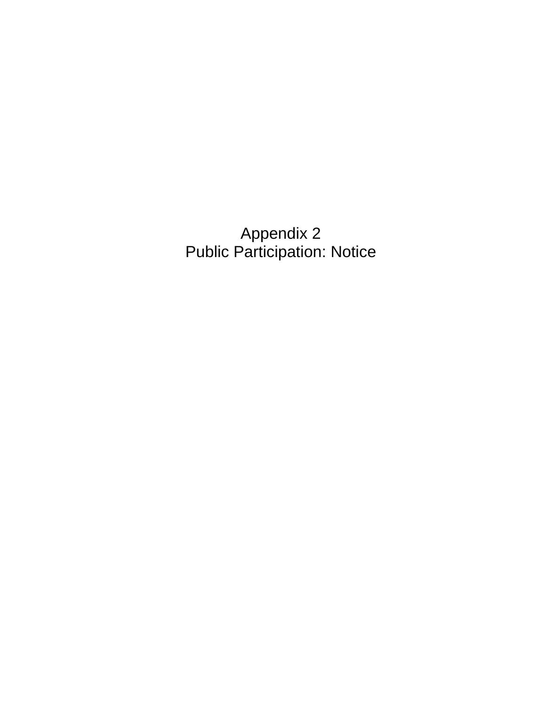Appendix 2 Public Participation: Notice